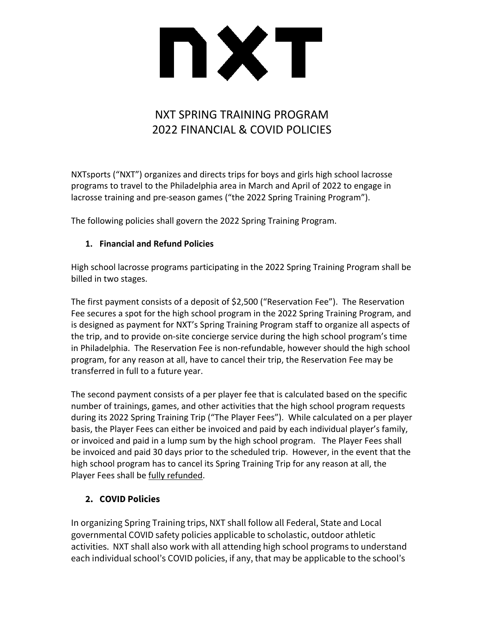

## NXT SPRING TRAINING PROGRAM 2022 FINANCIAL & COVID POLICIES

NXTsports ("NXT") organizes and directs trips for boys and girls high school lacrosse programs to travel to the Philadelphia area in March and April of 2022 to engage in lacrosse training and pre-season games ("the 2022 Spring Training Program").

The following policies shall govern the 2022 Spring Training Program.

## **1. Financial and Refund Policies**

High school lacrosse programs participating in the 2022 Spring Training Program shall be billed in two stages.

The first payment consists of a deposit of \$2,500 ("Reservation Fee"). The Reservation Fee secures a spot for the high school program in the 2022 Spring Training Program, and is designed as payment for NXT's Spring Training Program staff to organize all aspects of the trip, and to provide on-site concierge service during the high school program's time in Philadelphia. The Reservation Fee is non-refundable, however should the high school program, for any reason at all, have to cancel their trip, the Reservation Fee may be transferred in full to a future year.

The second payment consists of a per player fee that is calculated based on the specific number of trainings, games, and other activities that the high school program requests during its 2022 Spring Training Trip ("The Player Fees"). While calculated on a per player basis, the Player Fees can either be invoiced and paid by each individual player's family, or invoiced and paid in a lump sum by the high school program. The Player Fees shall be invoiced and paid 30 days prior to the scheduled trip. However, in the event that the high school program has to cancel its Spring Training Trip for any reason at all, the Player Fees shall be fully refunded.

## **2. COVID Policies**

In organizing Spring Training trips, NXT shall follow all Federal, State and Local governmental COVID safety policies applicable to scholastic, outdoor athletic activities. NXT shall also work with all attending high school programs to understand each individual school's COVID policies, if any, that may be applicable to the school's